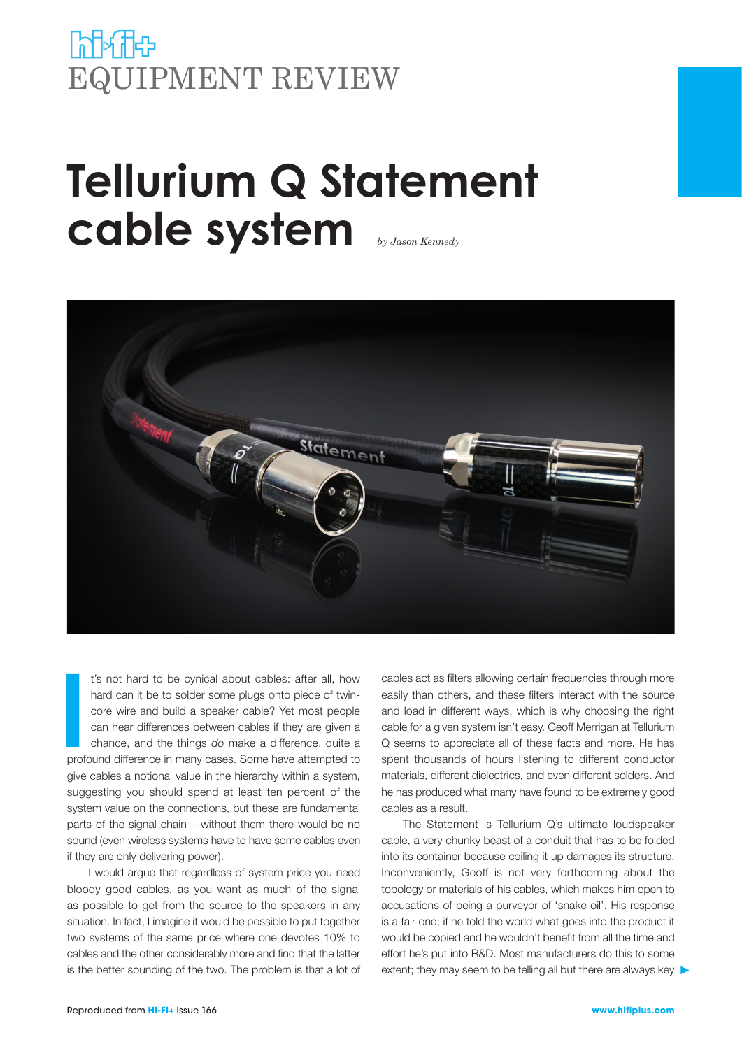## **Poper Hotel** EQUIPMENT REVIEW

## **Tellurium Q Statement cable system** *by Jason Kennedy*



**I**<br>International<br>International t's not hard to be cynical about cables: after all, how hard can it be to solder some plugs onto piece of twincore wire and build a speaker cable? Yet most people can hear differences between cables if they are given a chance, and the things *do* make a difference, quite a profound difference in many cases. Some have attempted to give cables a notional value in the hierarchy within a system, suggesting you should spend at least ten percent of the system value on the connections, but these are fundamental parts of the signal chain – without them there would be no sound (even wireless systems have to have some cables even if they are only delivering power).

I would argue that regardless of system price you need bloody good cables, as you want as much of the signal as possible to get from the source to the speakers in any situation. In fact, I imagine it would be possible to put together two systems of the same price where one devotes 10% to cables and the other considerably more and find that the latter is the better sounding of the two. The problem is that a lot of cables act as filters allowing certain frequencies through more easily than others, and these filters interact with the source and load in different ways, which is why choosing the right cable for a given system isn't easy. Geoff Merrigan at Tellurium Q seems to appreciate all of these facts and more. He has spent thousands of hours listening to different conductor materials, different dielectrics, and even different solders. And he has produced what many have found to be extremely good cables as a result.

The Statement is Tellurium Q's ultimate loudspeaker cable, a very chunky beast of a conduit that has to be folded into its container because coiling it up damages its structure. Inconveniently, Geoff is not very forthcoming about the topology or materials of his cables, which makes him open to accusations of being a purveyor of 'snake oil'. His response is a fair one; if he told the world what goes into the product it would be copied and he wouldn't benefit from all the time and effort he's put into R&D. Most manufacturers do this to some extent; they may seem to be telling all but there are always key